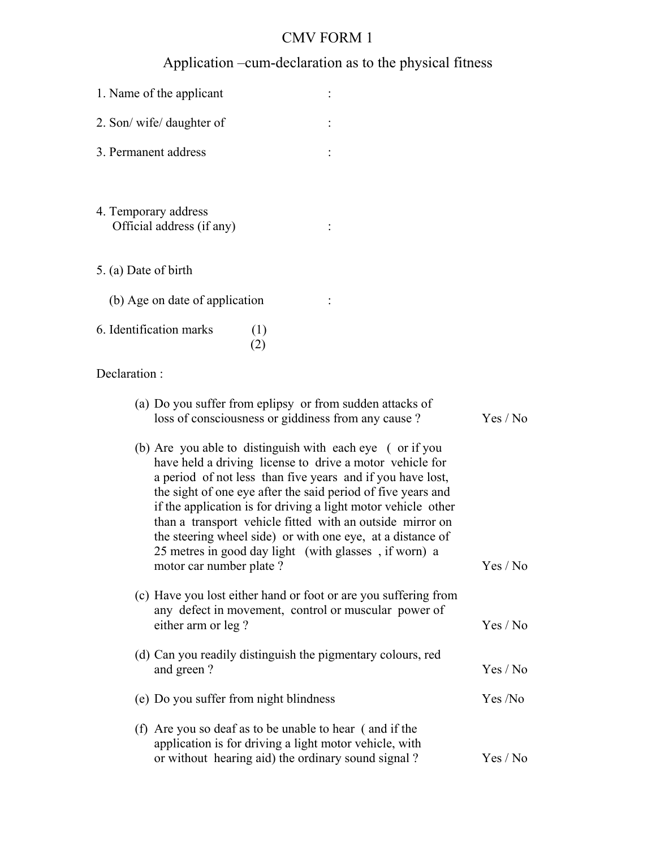## CMV FORM 1

# Application –cum-declaration as to the physical fitness

| 1. Name of the applicant                                                                                                                                                                                                                                                                                                                                                                                                                                                                                                           |          |
|------------------------------------------------------------------------------------------------------------------------------------------------------------------------------------------------------------------------------------------------------------------------------------------------------------------------------------------------------------------------------------------------------------------------------------------------------------------------------------------------------------------------------------|----------|
| 2. Son/wife/daughter of                                                                                                                                                                                                                                                                                                                                                                                                                                                                                                            |          |
| 3. Permanent address                                                                                                                                                                                                                                                                                                                                                                                                                                                                                                               |          |
|                                                                                                                                                                                                                                                                                                                                                                                                                                                                                                                                    |          |
| 4. Temporary address<br>Official address (if any)                                                                                                                                                                                                                                                                                                                                                                                                                                                                                  |          |
| 5. (a) Date of birth                                                                                                                                                                                                                                                                                                                                                                                                                                                                                                               |          |
| (b) Age on date of application                                                                                                                                                                                                                                                                                                                                                                                                                                                                                                     |          |
| 6. Identification marks<br>(1)<br>(2)                                                                                                                                                                                                                                                                                                                                                                                                                                                                                              |          |
| Declaration:                                                                                                                                                                                                                                                                                                                                                                                                                                                                                                                       |          |
| (a) Do you suffer from eplipsy or from sudden attacks of<br>loss of consciousness or giddiness from any cause?                                                                                                                                                                                                                                                                                                                                                                                                                     | Yes / No |
| (b) Are you able to distinguish with each eye (or if you<br>have held a driving license to drive a motor vehicle for<br>a period of not less than five years and if you have lost,<br>the sight of one eye after the said period of five years and<br>if the application is for driving a light motor vehicle other<br>than a transport vehicle fitted with an outside mirror on<br>the steering wheel side) or with one eye, at a distance of<br>25 metres in good day light (with glasses, if worn) a<br>motor car number plate? | Yes / No |
| (c) Have you lost either hand or foot or are you suffering from<br>any defect in movement, control or muscular power of<br>either arm or leg?                                                                                                                                                                                                                                                                                                                                                                                      | Yes / No |
| (d) Can you readily distinguish the pigmentary colours, red<br>and green?                                                                                                                                                                                                                                                                                                                                                                                                                                                          | Yes / No |
| (e) Do you suffer from night blindness                                                                                                                                                                                                                                                                                                                                                                                                                                                                                             | Yes /No  |
| (f) Are you so deaf as to be unable to hear (and if the<br>application is for driving a light motor vehicle, with<br>or without hearing aid) the ordinary sound signal?                                                                                                                                                                                                                                                                                                                                                            | Yes / No |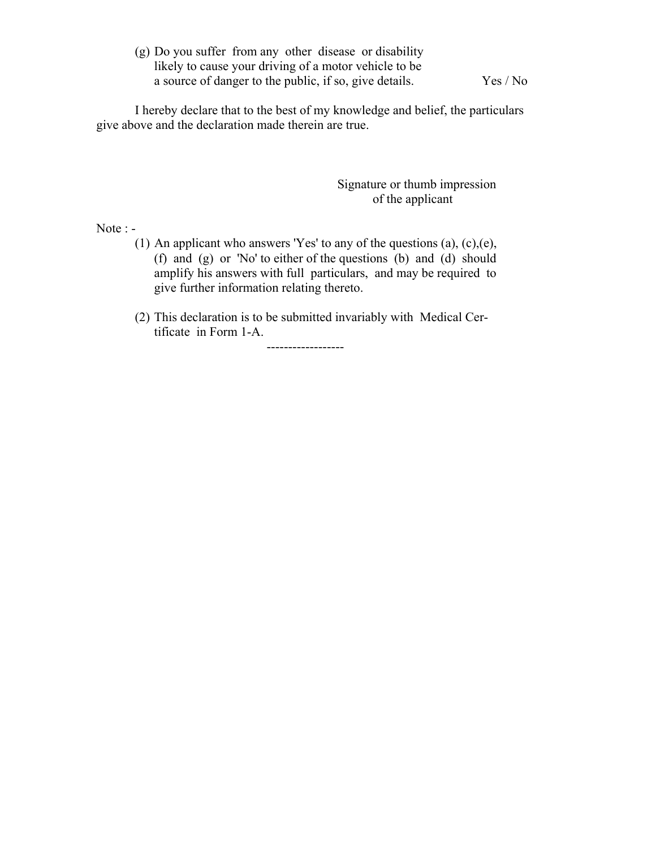(g) Do you suffer from any other disease or disability likely to cause your driving of a motor vehicle to be a source of danger to the public, if so, give details. Yes / No

 I hereby declare that to the best of my knowledge and belief, the particulars give above and the declaration made therein are true.

> Signature or thumb impression of the applicant

Note : -

- (1) An applicant who answers 'Yes' to any of the questions (a),  $(c)$ ,  $(e)$ , (f) and (g) or 'No' to either of the questions (b) and (d) should amplify his answers with full particulars, and may be required to give further information relating thereto.
- (2) This declaration is to be submitted invariably with Medical Certificate in Form 1-A.

------------------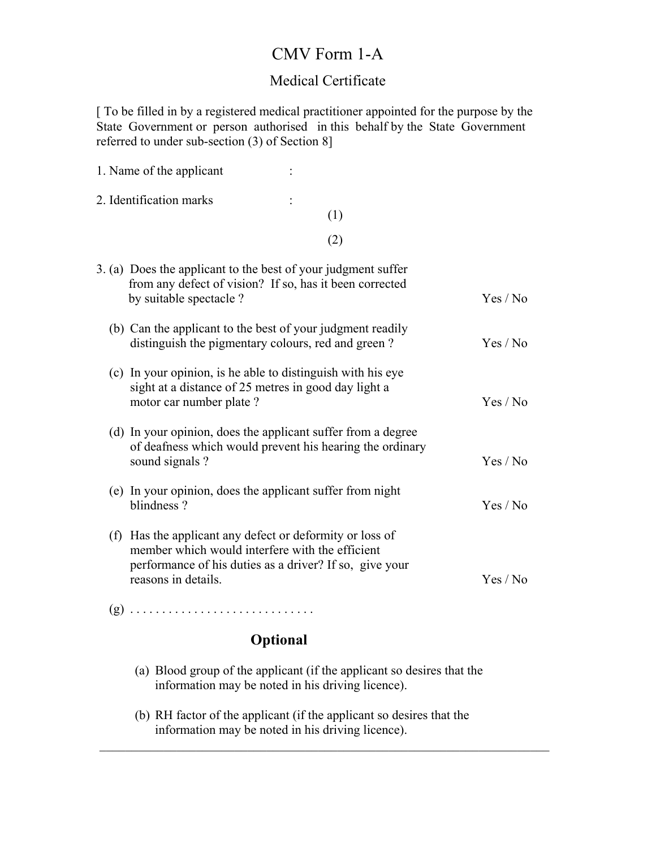### CMV Form 1-A

#### Medical Certificate

[ To be filled in by a registered medical practitioner appointed for the purpose by the State Government or person authorised in this behalf by the State Government referred to under sub-section (3) of Section 8]

| 1. Name of the applicant                                                                                                                                                                      |          |
|-----------------------------------------------------------------------------------------------------------------------------------------------------------------------------------------------|----------|
| 2. Identification marks                                                                                                                                                                       |          |
| (1)                                                                                                                                                                                           |          |
| (2)                                                                                                                                                                                           |          |
| 3. (a) Does the applicant to the best of your judgment suffer<br>from any defect of vision? If so, has it been corrected<br>by suitable spectacle?                                            | Yes / No |
| (b) Can the applicant to the best of your judgment readily<br>distinguish the pigmentary colours, red and green?                                                                              | Yes / No |
| (c) In your opinion, is he able to distinguish with his eye<br>sight at a distance of 25 metres in good day light a<br>motor car number plate?                                                | Yes / No |
| (d) In your opinion, does the applicant suffer from a degree<br>of deafness which would prevent his hearing the ordinary<br>sound signals?                                                    | Yes / No |
| (e) In your opinion, does the applicant suffer from night<br>blindness?                                                                                                                       | Yes / No |
| (f) Has the applicant any defect or deformity or loss of<br>member which would interfere with the efficient<br>performance of his duties as a driver? If so, give your<br>reasons in details. | Yes / No |
|                                                                                                                                                                                               |          |

#### **Optional**

- (a) Blood group of the applicant (if the applicant so desires that the information may be noted in his driving licence).
- (b) RH factor of the applicant (if the applicant so desires that the information may be noted in his driving licence).

 $\mathcal{L}_\text{max} = \mathcal{L}_\text{max} = \mathcal{L}_\text{max} = \mathcal{L}_\text{max} = \mathcal{L}_\text{max} = \mathcal{L}_\text{max} = \mathcal{L}_\text{max} = \mathcal{L}_\text{max} = \mathcal{L}_\text{max} = \mathcal{L}_\text{max} = \mathcal{L}_\text{max} = \mathcal{L}_\text{max} = \mathcal{L}_\text{max} = \mathcal{L}_\text{max} = \mathcal{L}_\text{max} = \mathcal{L}_\text{max} = \mathcal{L}_\text{max} = \mathcal{L}_\text{max} = \mathcal{$